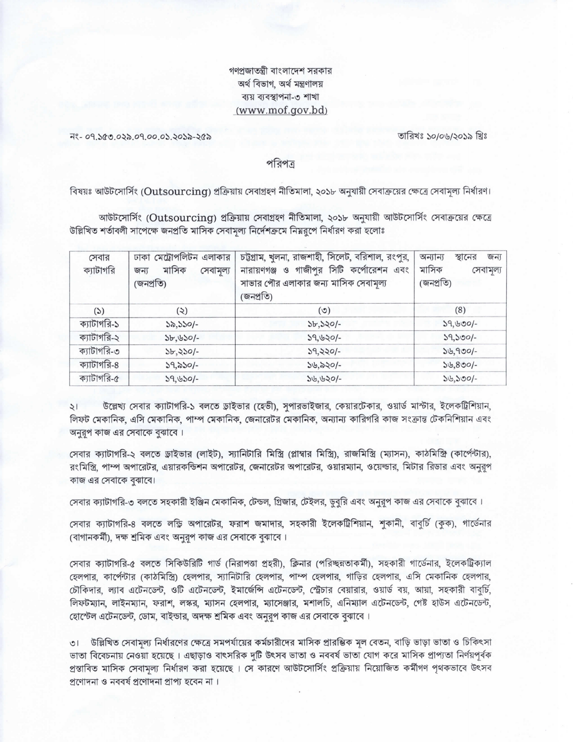## গণপ্রজাতন্ত্রী বাংলাদেশ সরকার অৰ্থ বিভাগ, অৰ্থ মন্ত্ৰণালয় ব্যয় ব্যবস্থাপনা-৩ শাখা (www.mof.gov.bd)

নং- ০৭.১৫৩.০২৯.০৭.০০.০১.২০১৯-২৫৯

তারিখঃ ১০/০৬/২০১৯ খ্রিঃ

পরিপত্ত

বিষয়ঃ আউটসোর্সিং (Outsourcing) প্রক্রিয়ায় সেবাগ্রহণ নীতিমালা, ২০১৮ অনুযায়ী সেবাক্রয়ের ক্ষেত্রে সেবামূল্য নির্ধারণ।

আউটসোর্সিং (Outsourcing) প্রক্রিয়ায় সেবাগ্রহণ নীতিমালা, ২০১৮ অনুযায়ী আউটসোর্সিং সেবাক্রয়ের ক্ষেত্রে উল্লিখিত শর্তাবলী সাপেক্ষে জনপ্রতি মাসিক সেবামূল্য নির্দেশক্রমে নিয়রূপে নির্ধারণ করা হলোঃ

| সেবার<br>ক্যাটাগরি | ঢাকা মেট্রোপলিটন এলাকার<br>মাসিক<br>সেবামূল্য<br>জন্য<br>(জনপ্ৰতি) | চট্টগ্রাম, খুলনা, রাজশাহী, সিলেট, বরিশাল, রংপুর,<br>গাজীপুর সিটি কর্পোরেশন এবং<br>নারায়ণগঞ্জ ও<br>সাভার পৌর এলাকার জন্য মাসিক সেবামূল্য<br>(জনপ্ৰতি) | অন্যান্য<br>জন্য<br>স্থানের<br>মাসিক<br>সেবামূল্য<br>(জনপ্ৰতি) |
|--------------------|--------------------------------------------------------------------|-------------------------------------------------------------------------------------------------------------------------------------------------------|----------------------------------------------------------------|
| (5)                | (5)                                                                | $(\circ)$                                                                                                                                             | (8)                                                            |
| ক্যাটাগরি-১        | ১৯,১১০/-                                                           | $3b,320/-$                                                                                                                                            | $39,500/-$                                                     |
| ক্যাটাগরি-২        | $3b, b30/-$                                                        | $39,620/-$                                                                                                                                            | $39,500/-$                                                     |
| ক্যাটাগরি-৩        | $5b,350/-$                                                         | $39,220/-$                                                                                                                                            | $39,900/-$                                                     |
| ক্যাটাগরি-৪        | $39,830/-$                                                         | $56,520/-$                                                                                                                                            | $56,800/-$                                                     |
| ক্যাটাগরি-৫        | $39,550/-$                                                         | $36,620/-$                                                                                                                                            | $34,500/-$                                                     |

উল্লেখ্য সেবার ক্যাটাগরি-১ বলতে ড্রাইভার (হেভী), সুপারভাইজার, কেয়ারটেকার, ওয়ার্ড মাস্টার, ইলেকট্রিশিয়ান,  $\frac{1}{2}$ লিফট মেকানিক, এসি মেকানিক, পাম্প মেকানিক, জেনারেটর মেকানিক, অন্যান্য কারিগরি কাজ সংক্রান্ত টেকনিশিয়ান এবং অনুরূপ কাজ এর সেবাকে বুঝাবে।

সেবার ক্যাটাগরি-২ বলতে ড্রাইভার (লাইট), স্যানিটারি মিস্ত্রি (প্লাম্বার মিস্ত্রি), রাজমিস্ত্রি (ম্যাসন), কাঠমিস্ত্রি (কার্পেন্টার), রংমিস্ত্রি, পাম্প অপারেটর, এয়ারকন্ডিশন অপারেটর, জেনারেটর অপারেটর, ওয়ারম্যান, ওয়েল্ডার, মিটার রিডার এবং অনুরূপ কাজ এর সেবাকে বুঝাবে।

সেবার ক্যাটাগরি-৩ বলতে সহকারী ইঞ্জিন মেকানিক, টেন্ডল, গ্রিজার, টেইলর, ডবরি এবং অনুরূপ কাজ এর সেবাকে বুঝাবে।

সেবার ক্যাটাগরি-৪ বলতে লন্ডি অপারেটর, ফরাশ জমাদার, সহকারী ইলেকট্রিশিয়ান, শুকানী, বাবুর্চি (কুক), গার্ডেনার (বাগানকর্মী), দক্ষ শ্রমিক এবং অনুরূপ কাজ এর সেবাকে বুঝাবে।

সেবার ক্যাটাগরি-৫ বলতে সিকিউরিটি গার্ড (নিরাপত্তা প্রহরী), ক্লিনার (পরিচ্ছন্নতাকর্মী), সহকারী গার্ডেনার, ইলেকট্রিক্যাল হেলপার, কার্পেন্টার (কাঠমিস্ত্রি) হেলপার, স্যানিটারি হেলপার, পাম্প হেলপার, গাড়ির হেলপার, এসি মেকানিক হেলপার, চৌকিদার, ল্যাব এটেনডেন্ট, ওটি এটেনডেন্ট, ইমার্জেন্সি এটেনডেন্ট, স্ট্রেচার বেয়ারার, ওয়ার্ড বয়, আয়া, সহকারী বাবুর্চি, লিফটম্যান, লাইনম্যান, ফরাশ, লস্কর, ম্যাসন হেলপার, ম্যাসেঞ্জার, মশালচি, এনিম্যাল এটেনডেন্ট, গেষ্ট হাউস এটেনডেন্ট, হোস্টেল এটেনডেন্ট, ডোম, বাইন্ডার, অদক্ষ শ্রমিক এবং অনুরূপ কাজ এর সেবাকে বুঝাবে।

৩। উল্লিখিত সেবামল্য নির্ধারণের ক্ষেত্রে সমপর্যায়ের কর্মচারীদের মাসিক প্রারম্ভিক মল বেতন, বাড়ি ভাড়া ভাতা ও চিকিৎসা ভাতা বিবেচনায় নেওয়া হয়েছে। এছাড়াও বাৎসরিক দুটি উৎসব ভাতা ও নববর্ষ ভাতা যোগ করে মাসিক প্রাপ্যতা নির্ণয়পূর্বক প্রস্তাবিত মাসিক সেবামল্য নির্ধারণ করা হয়েছে । সে কারণে আউটসোর্সিং প্রক্রিয়ায় নিয়োজিত কর্মীগণ পৃথকভাবে উৎসব পণোদনা ও নববর্ষ পণোদনা প্রাপ্য হবেন না।